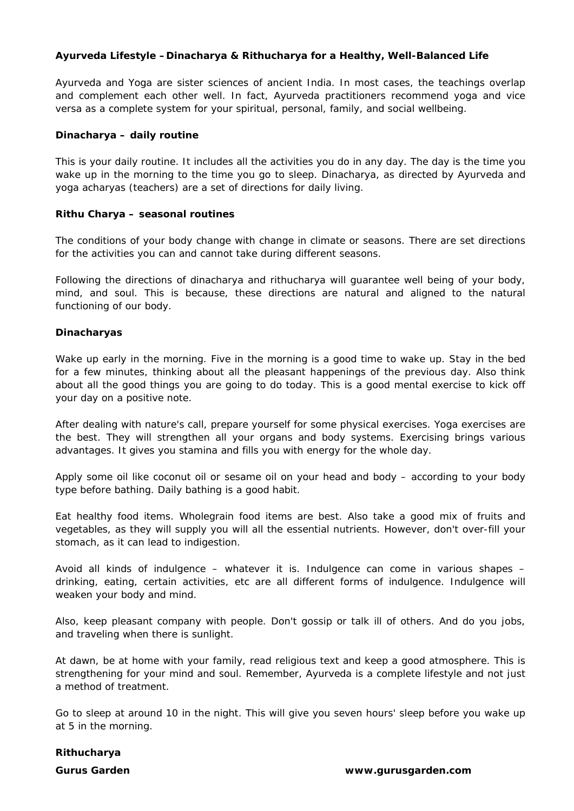# **Ayurveda Lifestyle –Dinacharya & Rithucharya for a Healthy, Well-Balanced Life**

Ayurveda and Yoga are sister sciences of ancient India. In most cases, the teachings overlap and complement each other well. In fact, Ayurveda practitioners recommend yoga and vice versa as a complete system for your spiritual, personal, family, and social wellbeing.

## **Dinacharya – daily routine**

This is your daily routine. It includes all the activities you do in any day. The day is the time you wake up in the morning to the time you go to sleep. Dinacharya, as directed by Ayurveda and yoga acharyas (teachers) are a set of directions for daily living.

## **Rithu Charya – seasonal routines**

The conditions of your body change with change in climate or seasons. There are set directions for the activities you can and cannot take during different seasons.

Following the directions of dinacharya and rithucharya will guarantee well being of your body, mind, and soul. This is because, these directions are natural and aligned to the natural functioning of our body.

## **Dinacharyas**

Wake up early in the morning. Five in the morning is a good time to wake up. Stay in the bed for a few minutes, thinking about all the pleasant happenings of the previous day. Also think about all the good things you are going to do today. This is a good mental exercise to kick off your day on a positive note.

After dealing with nature's call, prepare yourself for some physical exercises. Yoga exercises are the best. They will strengthen all your organs and body systems. Exercising brings various advantages. It gives you stamina and fills you with energy for the whole day.

Apply some oil like coconut oil or sesame oil on your head and body – according to your body type before bathing. Daily bathing is a good habit.

Eat healthy food items. Wholegrain food items are best. Also take a good mix of fruits and vegetables, as they will supply you will all the essential nutrients. However, don't over-fill your stomach, as it can lead to indigestion.

Avoid all kinds of indulgence – whatever it is. Indulgence can come in various shapes – drinking, eating, certain activities, etc are all different forms of indulgence. Indulgence will weaken your body and mind.

Also, keep pleasant company with people. Don't gossip or talk ill of others. And do you jobs, and traveling when there is sunlight.

At dawn, be at home with your family, read religious text and keep a good atmosphere. This is strengthening for your mind and soul. Remember, Ayurveda is a complete lifestyle and not just a method of treatment.

Go to sleep at around 10 in the night. This will give you seven hours' sleep before you wake up at 5 in the morning.

#### **Rithucharya**